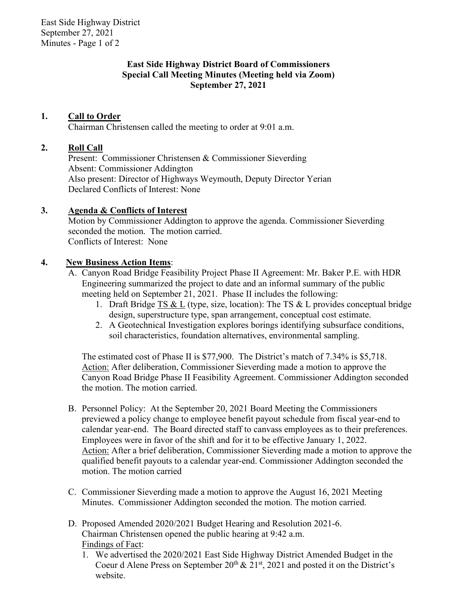East Side Highway District September 27, 2021 Minutes - Page 1 of 2

## **East Side Highway District Board of Commissioners Special Call Meeting Minutes (Meeting held via Zoom) September 27, 2021**

# **1. Call to Order**

Chairman Christensen called the meeting to order at 9:01 a.m.

### **2. Roll Call**

Present: Commissioner Christensen & Commissioner Sieverding Absent: Commissioner Addington Also present: Director of Highways Weymouth, Deputy Director Yerian Declared Conflicts of Interest: None

### **3. Agenda & Conflicts of Interest**

Motion by Commissioner Addington to approve the agenda. Commissioner Sieverding seconded the motion. The motion carried. Conflicts of Interest: None

### **4. New Business Action Items**:

- A. Canyon Road Bridge Feasibility Project Phase II Agreement: Mr. Baker P.E. with HDR Engineering summarized the project to date and an informal summary of the public meeting held on September 21, 2021. Phase II includes the following:
	- 1. Draft Bridge TS & L (type, size, location): The TS & L provides conceptual bridge design, superstructure type, span arrangement, conceptual cost estimate.
	- 2. A Geotechnical Investigation explores borings identifying subsurface conditions, soil characteristics, foundation alternatives, environmental sampling.

The estimated cost of Phase II is \$77,900. The District's match of 7.34% is \$5,718. Action: After deliberation, Commissioner Sieverding made a motion to approve the Canyon Road Bridge Phase II Feasibility Agreement. Commissioner Addington seconded the motion. The motion carried.

- B. Personnel Policy: At the September 20, 2021 Board Meeting the Commissioners previewed a policy change to employee benefit payout schedule from fiscal year-end to calendar year-end. The Board directed staff to canvass employees as to their preferences. Employees were in favor of the shift and for it to be effective January 1, 2022. Action: After a brief deliberation, Commissioner Sieverding made a motion to approve the qualified benefit payouts to a calendar year-end. Commissioner Addington seconded the motion. The motion carried
- C. Commissioner Sieverding made a motion to approve the August 16, 2021 Meeting Minutes. Commissioner Addington seconded the motion. The motion carried.
- D. Proposed Amended 2020/2021 Budget Hearing and Resolution 2021-6. Chairman Christensen opened the public hearing at 9:42 a.m. Findings of Fact:
	- 1. We advertised the 2020/2021 East Side Highway District Amended Budget in the Coeur d Alene Press on September  $20^{th} \& 21^{st}$ , 2021 and posted it on the District's website.